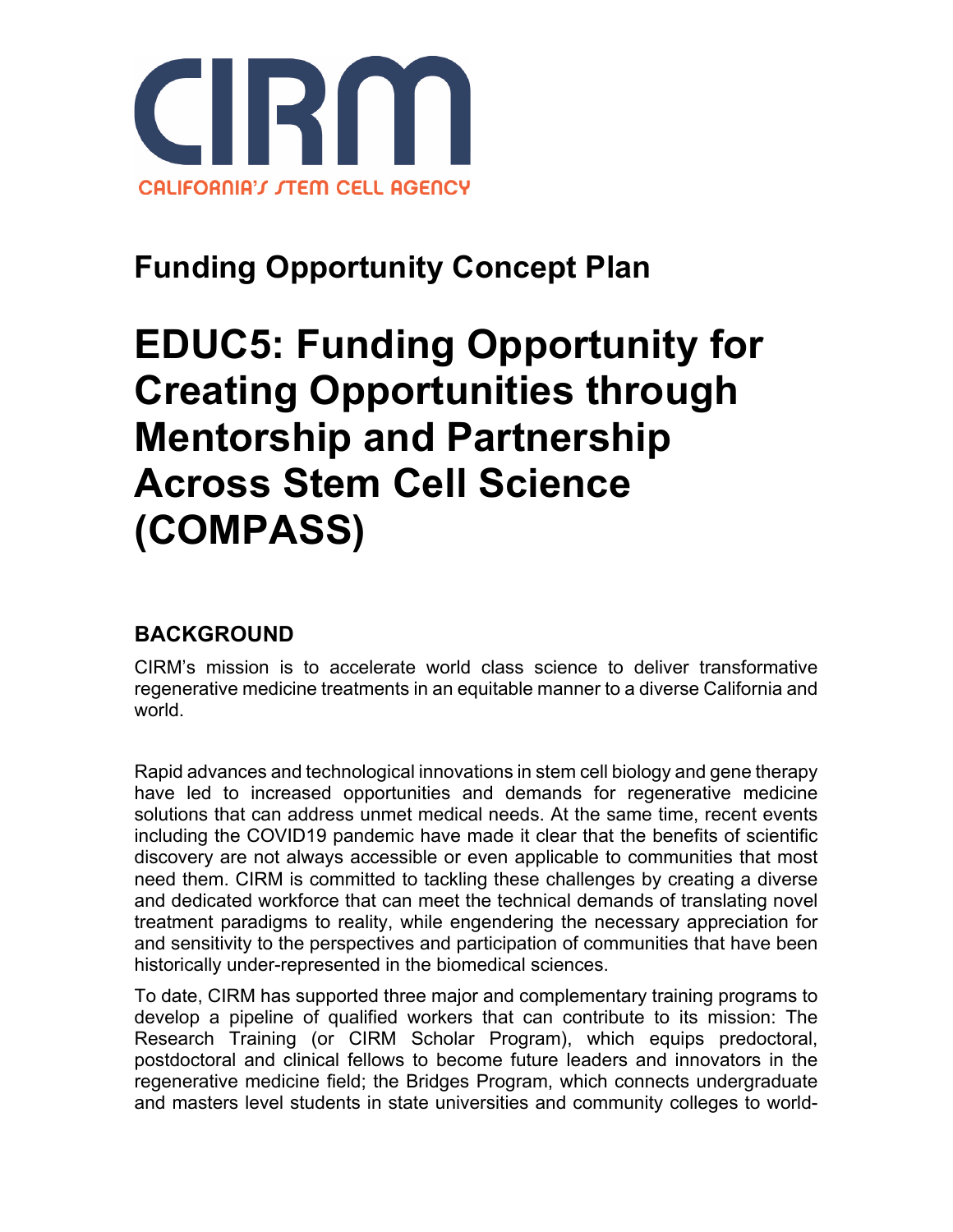

## **Funding Opportunity Concept Plan**

# **EDUC5: Funding Opportunity for Creating Opportunities through Mentorship and Partnership Across Stem Cell Science (COMPASS)**

## **BACKGROUND**

CIRM's mission is to accelerate world class science to deliver transformative regenerative medicine treatments in an equitable manner to a diverse California and world.

Rapid advances and technological innovations in stem cell biology and gene therapy have led to increased opportunities and demands for regenerative medicine solutions that can address unmet medical needs. At the same time, recent events including the COVID19 pandemic have made it clear that the benefits of scientific discovery are not always accessible or even applicable to communities that most need them. CIRM is committed to tackling these challenges by creating a diverse and dedicated workforce that can meet the technical demands of translating novel treatment paradigms to reality, while engendering the necessary appreciation for and sensitivity to the perspectives and participation of communities that have been historically under-represented in the biomedical sciences.

To date, CIRM has supported three major and complementary training programs to develop a pipeline of qualified workers that can contribute to its mission: The Research Training (or CIRM Scholar Program), which equips predoctoral, postdoctoral and clinical fellows to become future leaders and innovators in the regenerative medicine field; the Bridges Program, which connects undergraduate and masters level students in state universities and community colleges to world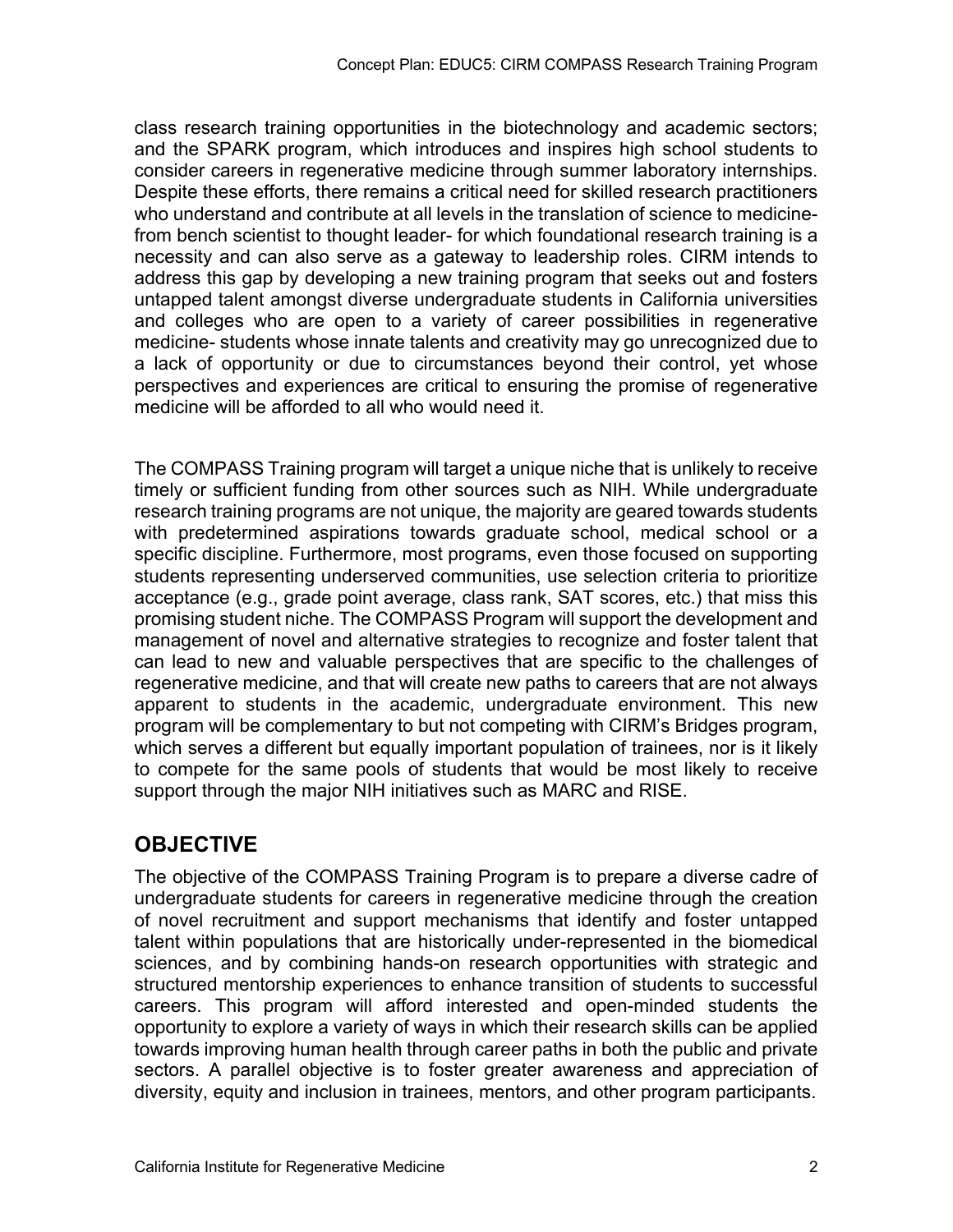class research training opportunities in the biotechnology and academic sectors; and the SPARK program, which introduces and inspires high school students to consider careers in regenerative medicine through summer laboratory internships. Despite these efforts, there remains a critical need for skilled research practitioners who understand and contribute at all levels in the translation of science to medicinefrom bench scientist to thought leader- for which foundational research training is a necessity and can also serve as a gateway to leadership roles. CIRM intends to address this gap by developing a new training program that seeks out and fosters untapped talent amongst diverse undergraduate students in California universities and colleges who are open to a variety of career possibilities in regenerative medicine- students whose innate talents and creativity may go unrecognized due to a lack of opportunity or due to circumstances beyond their control, yet whose perspectives and experiences are critical to ensuring the promise of regenerative medicine will be afforded to all who would need it.

The COMPASS Training program will target a unique niche that is unlikely to receive timely or sufficient funding from other sources such as NIH. While undergraduate research training programs are not unique, the majority are geared towards students with predetermined aspirations towards graduate school, medical school or a specific discipline. Furthermore, most programs, even those focused on supporting students representing underserved communities, use selection criteria to prioritize acceptance (e.g., grade point average, class rank, SAT scores, etc.) that miss this promising student niche. The COMPASS Program will support the development and management of novel and alternative strategies to recognize and foster talent that can lead to new and valuable perspectives that are specific to the challenges of regenerative medicine, and that will create new paths to careers that are not always apparent to students in the academic, undergraduate environment. This new program will be complementary to but not competing with CIRM's Bridges program, which serves a different but equally important population of trainees, nor is it likely to compete for the same pools of students that would be most likely to receive support through the major NIH initiatives such as MARC and RISE.

## **OBJECTIVE**

The objective of the COMPASS Training Program is to prepare a diverse cadre of undergraduate students for careers in regenerative medicine through the creation of novel recruitment and support mechanisms that identify and foster untapped talent within populations that are historically under-represented in the biomedical sciences, and by combining hands-on research opportunities with strategic and structured mentorship experiences to enhance transition of students to successful careers. This program will afford interested and open-minded students the opportunity to explore a variety of ways in which their research skills can be applied towards improving human health through career paths in both the public and private sectors. A parallel objective is to foster greater awareness and appreciation of diversity, equity and inclusion in trainees, mentors, and other program participants.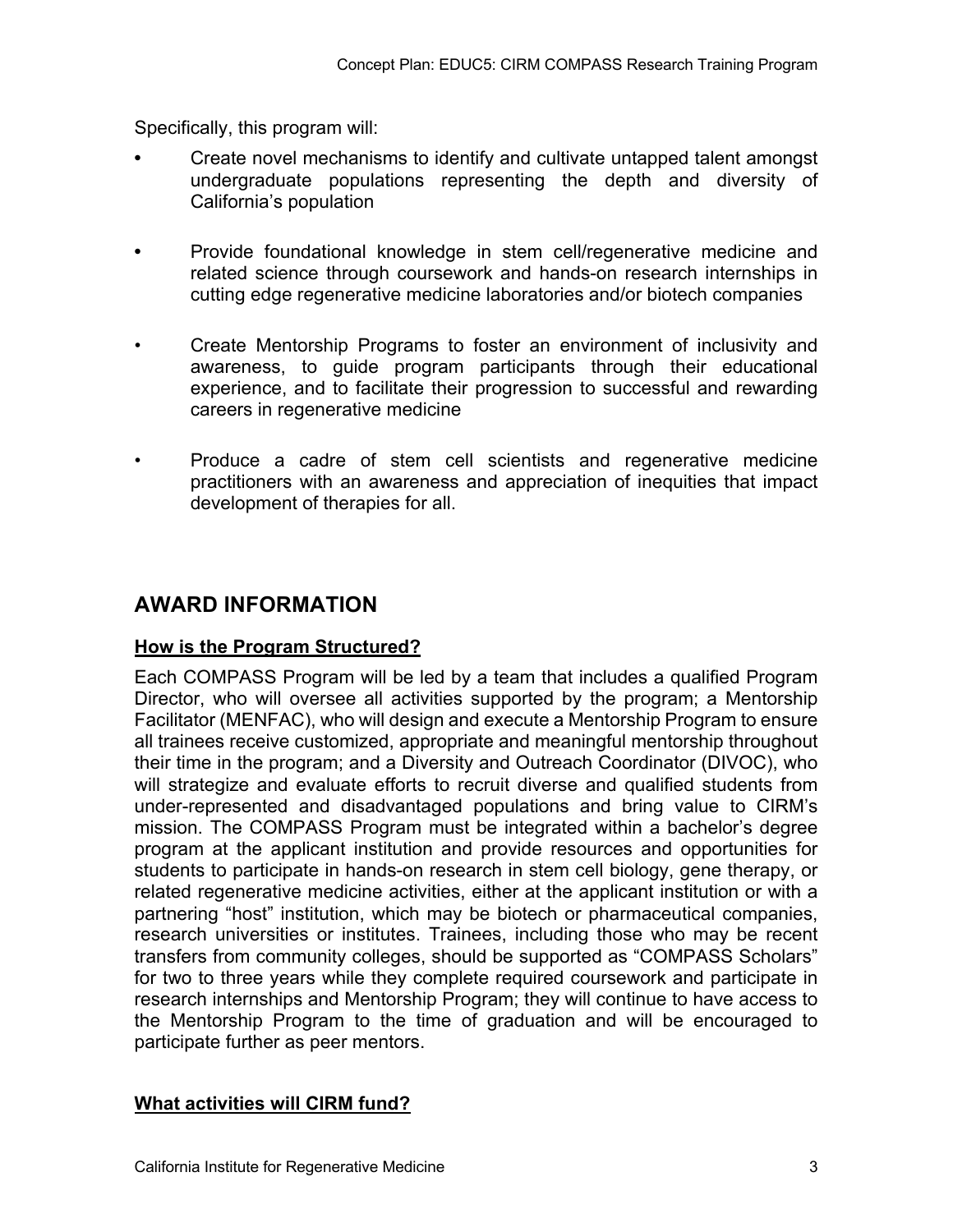Specifically, this program will:

- **•** Create novel mechanisms to identify and cultivate untapped talent amongst undergraduate populations representing the depth and diversity of California's population
- **•** Provide foundational knowledge in stem cell/regenerative medicine and related science through coursework and hands-on research internships in cutting edge regenerative medicine laboratories and/or biotech companies
- Create Mentorship Programs to foster an environment of inclusivity and awareness, to guide program participants through their educational experience, and to facilitate their progression to successful and rewarding careers in regenerative medicine
- Produce a cadre of stem cell scientists and regenerative medicine practitioners with an awareness and appreciation of inequities that impact development of therapies for all.

## **AWARD INFORMATION**

#### **How is the Program Structured?**

Each COMPASS Program will be led by a team that includes a qualified Program Director, who will oversee all activities supported by the program; a Mentorship Facilitator (MENFAC), who will design and execute a Mentorship Program to ensure all trainees receive customized, appropriate and meaningful mentorship throughout their time in the program; and a Diversity and Outreach Coordinator (DIVOC), who will strategize and evaluate efforts to recruit diverse and qualified students from under-represented and disadvantaged populations and bring value to CIRM's mission. The COMPASS Program must be integrated within a bachelor's degree program at the applicant institution and provide resources and opportunities for students to participate in hands-on research in stem cell biology, gene therapy, or related regenerative medicine activities, either at the applicant institution or with a partnering "host" institution, which may be biotech or pharmaceutical companies, research universities or institutes. Trainees, including those who may be recent transfers from community colleges, should be supported as "COMPASS Scholars" for two to three years while they complete required coursework and participate in research internships and Mentorship Program; they will continue to have access to the Mentorship Program to the time of graduation and will be encouraged to participate further as peer mentors.

#### **What activities will CIRM fund?**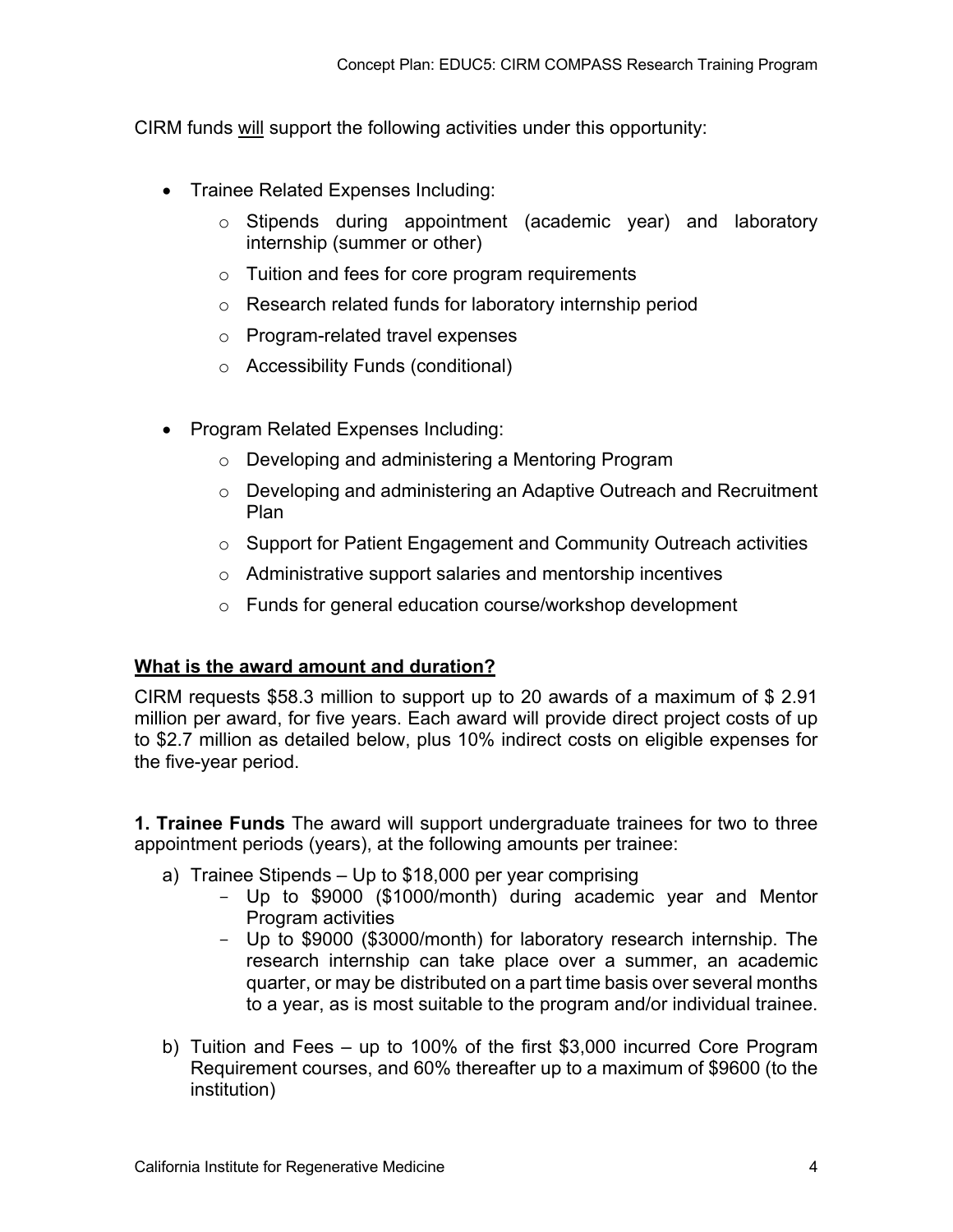CIRM funds will support the following activities under this opportunity:

- Trainee Related Expenses Including:
	- o Stipends during appointment (academic year) and laboratory internship (summer or other)
	- $\circ$  Tuition and fees for core program requirements
	- o Research related funds for laboratory internship period
	- o Program-related travel expenses
	- o Accessibility Funds (conditional)
- Program Related Expenses Including:
	- o Developing and administering a Mentoring Program
	- o Developing and administering an Adaptive Outreach and Recruitment Plan
	- o Support for Patient Engagement and Community Outreach activities
	- o Administrative support salaries and mentorship incentives
	- o Funds for general education course/workshop development

#### **What is the award amount and duration?**

CIRM requests \$58.3 million to support up to 20 awards of a maximum of \$ 2.91 million per award, for five years. Each award will provide direct project costs of up to \$2.7 million as detailed below, plus 10% indirect costs on eligible expenses for the five-year period.

**1. Trainee Funds** The award will support undergraduate trainees for two to three appointment periods (years), at the following amounts per trainee:

- a) Trainee Stipends Up to \$18,000 per year comprising
	- Up to \$9000 (\$1000/month) during academic year and Mentor Program activities
	- Up to \$9000 (\$3000/month) for laboratory research internship. The research internship can take place over a summer, an academic quarter, or may be distributed on a part time basis over several months to a year, as is most suitable to the program and/or individual trainee.
- b) Tuition and Fees up to 100% of the first \$3,000 incurred Core Program Requirement courses, and 60% thereafter up to a maximum of \$9600 (to the institution)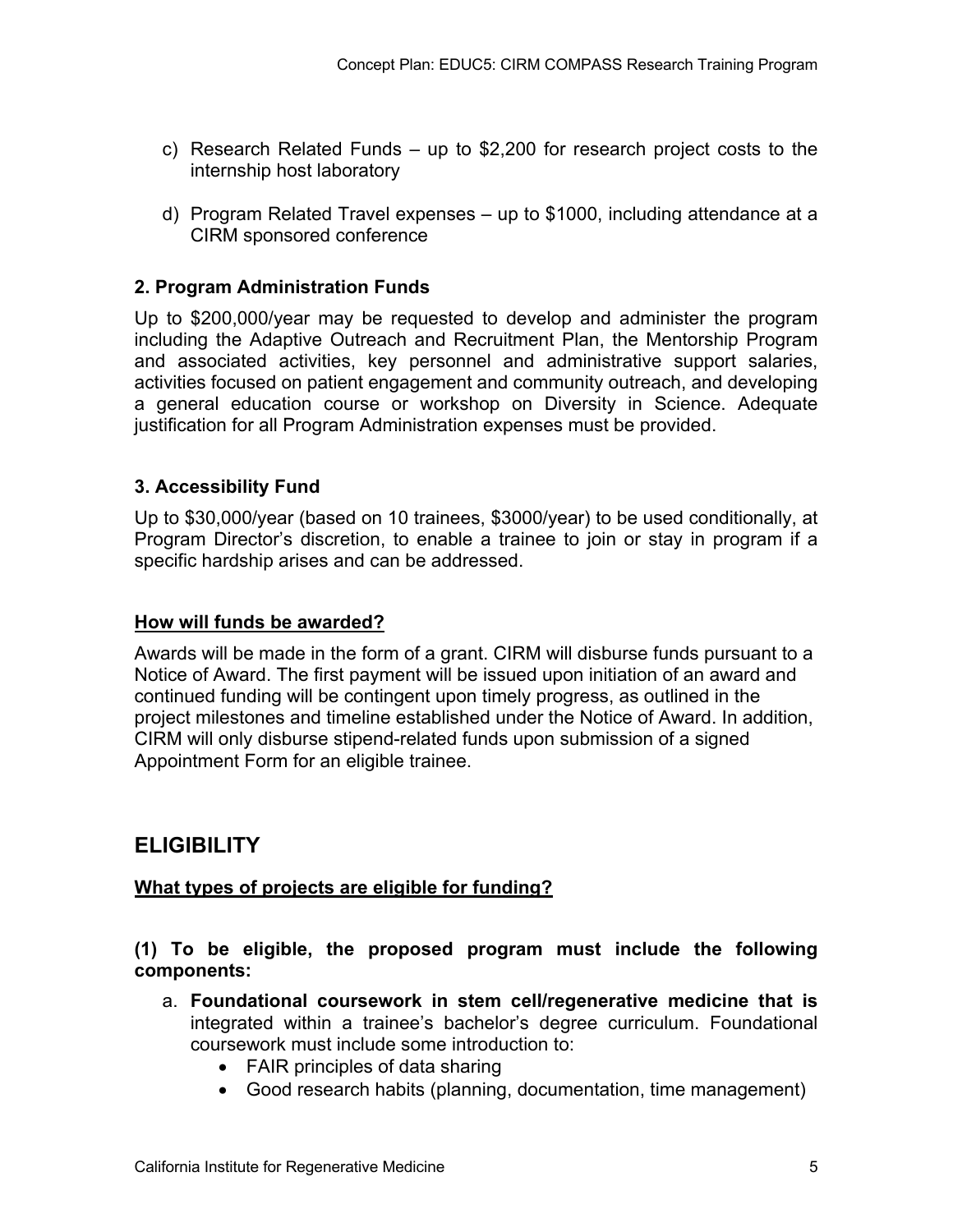- c) Research Related Funds up to \$2,200 for research project costs to the internship host laboratory
- d) Program Related Travel expenses up to \$1000, including attendance at a CIRM sponsored conference

#### **2. Program Administration Funds**

Up to \$200,000/year may be requested to develop and administer the program including the Adaptive Outreach and Recruitment Plan, the Mentorship Program and associated activities, key personnel and administrative support salaries, activities focused on patient engagement and community outreach, and developing a general education course or workshop on Diversity in Science. Adequate justification for all Program Administration expenses must be provided.

#### **3. Accessibility Fund**

Up to \$30,000/year (based on 10 trainees, \$3000/year) to be used conditionally, at Program Director's discretion, to enable a trainee to join or stay in program if a specific hardship arises and can be addressed.

#### **How will funds be awarded?**

Awards will be made in the form of a grant. CIRM will disburse funds pursuant to a Notice of Award. The first payment will be issued upon initiation of an award and continued funding will be contingent upon timely progress, as outlined in the project milestones and timeline established under the Notice of Award. In addition, CIRM will only disburse stipend-related funds upon submission of a signed Appointment Form for an eligible trainee.

### **ELIGIBILITY**

#### **What types of projects are eligible for funding?**

#### **(1) To be eligible, the proposed program must include the following components:**

- a. **Foundational coursework in stem cell/regenerative medicine that is**  integrated within a trainee's bachelor's degree curriculum. Foundational coursework must include some introduction to:
	- FAIR principles of data sharing
	- Good research habits (planning, documentation, time management)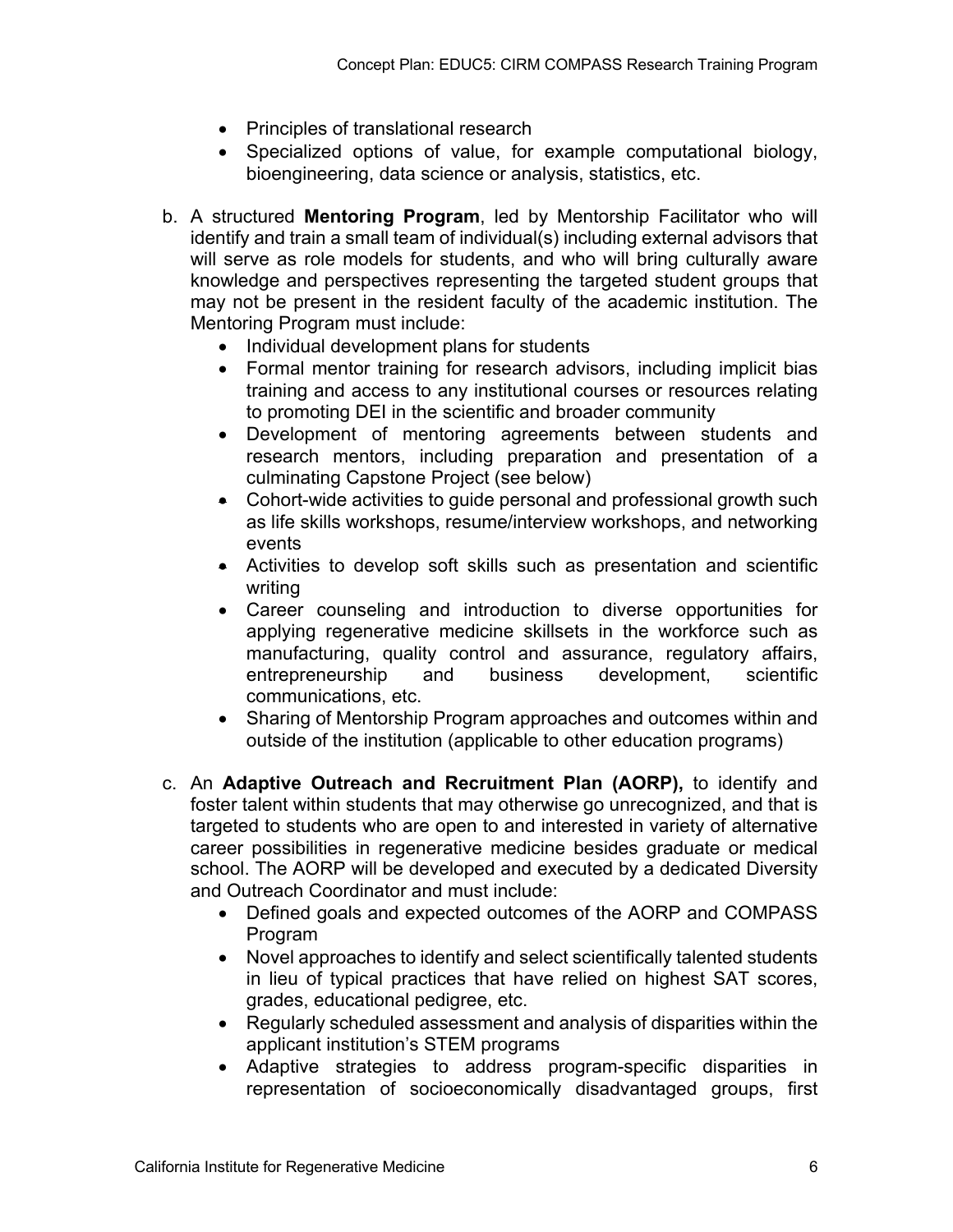- Principles of translational research
- Specialized options of value, for example computational biology, bioengineering, data science or analysis, statistics, etc.
- b. A structured **Mentoring Program**, led by Mentorship Facilitator who will identify and train a small team of individual(s) including external advisors that will serve as role models for students, and who will bring culturally aware knowledge and perspectives representing the targeted student groups that may not be present in the resident faculty of the academic institution. The Mentoring Program must include:
	- Individual development plans for students
	- Formal mentor training for research advisors, including implicit bias training and access to any institutional courses or resources relating to promoting DEI in the scientific and broader community
	- Development of mentoring agreements between students and research mentors, including preparation and presentation of a culminating Capstone Project (see below)
	- Cohort-wide activities to guide personal and professional growth such as life skills workshops, resume/interview workshops, and networking events
	- Activities to develop soft skills such as presentation and scientific writing
	- Career counseling and introduction to diverse opportunities for applying regenerative medicine skillsets in the workforce such as manufacturing, quality control and assurance, regulatory affairs, entrepreneurship and business development, scientific communications, etc.
	- Sharing of Mentorship Program approaches and outcomes within and outside of the institution (applicable to other education programs)
- c. An **Adaptive Outreach and Recruitment Plan (AORP),** to identify and foster talent within students that may otherwise go unrecognized, and that is targeted to students who are open to and interested in variety of alternative career possibilities in regenerative medicine besides graduate or medical school. The AORP will be developed and executed by a dedicated Diversity and Outreach Coordinator and must include:
	- Defined goals and expected outcomes of the AORP and COMPASS Program
	- Novel approaches to identify and select scientifically talented students in lieu of typical practices that have relied on highest SAT scores, grades, educational pedigree, etc.
	- Regularly scheduled assessment and analysis of disparities within the applicant institution's STEM programs
	- Adaptive strategies to address program-specific disparities in representation of socioeconomically disadvantaged groups, first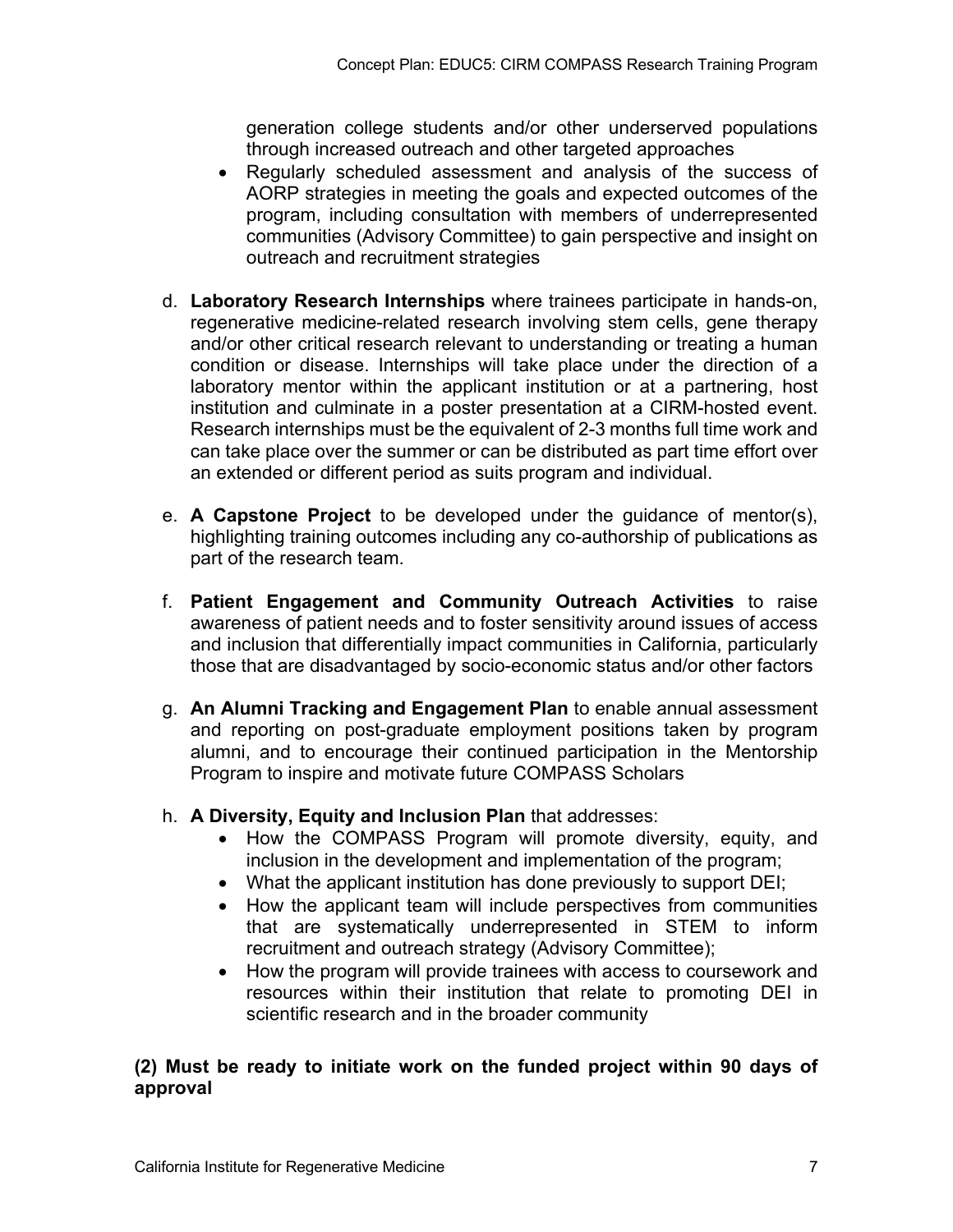generation college students and/or other underserved populations through increased outreach and other targeted approaches

- Regularly scheduled assessment and analysis of the success of AORP strategies in meeting the goals and expected outcomes of the program, including consultation with members of underrepresented communities (Advisory Committee) to gain perspective and insight on outreach and recruitment strategies
- d. **Laboratory Research Internships** where trainees participate in hands-on, regenerative medicine-related research involving stem cells, gene therapy and/or other critical research relevant to understanding or treating a human condition or disease. Internships will take place under the direction of a laboratory mentor within the applicant institution or at a partnering, host institution and culminate in a poster presentation at a CIRM-hosted event. Research internships must be the equivalent of 2-3 months full time work and can take place over the summer or can be distributed as part time effort over an extended or different period as suits program and individual.
- e. **A Capstone Project** to be developed under the guidance of mentor(s), highlighting training outcomes including any co-authorship of publications as part of the research team.
- f. **Patient Engagement and Community Outreach Activities** to raise awareness of patient needs and to foster sensitivity around issues of access and inclusion that differentially impact communities in California, particularly those that are disadvantaged by socio-economic status and/or other factors
- g. **An Alumni Tracking and Engagement Plan** to enable annual assessment and reporting on post-graduate employment positions taken by program alumni, and to encourage their continued participation in the Mentorship Program to inspire and motivate future COMPASS Scholars
- h. **A Diversity, Equity and Inclusion Plan** that addresses:
	- How the COMPASS Program will promote diversity, equity, and inclusion in the development and implementation of the program;
	- What the applicant institution has done previously to support DEI;
	- How the applicant team will include perspectives from communities that are systematically underrepresented in STEM to inform recruitment and outreach strategy (Advisory Committee);
	- How the program will provide trainees with access to coursework and resources within their institution that relate to promoting DEI in scientific research and in the broader community

#### **(2) Must be ready to initiate work on the funded project within 90 days of approval**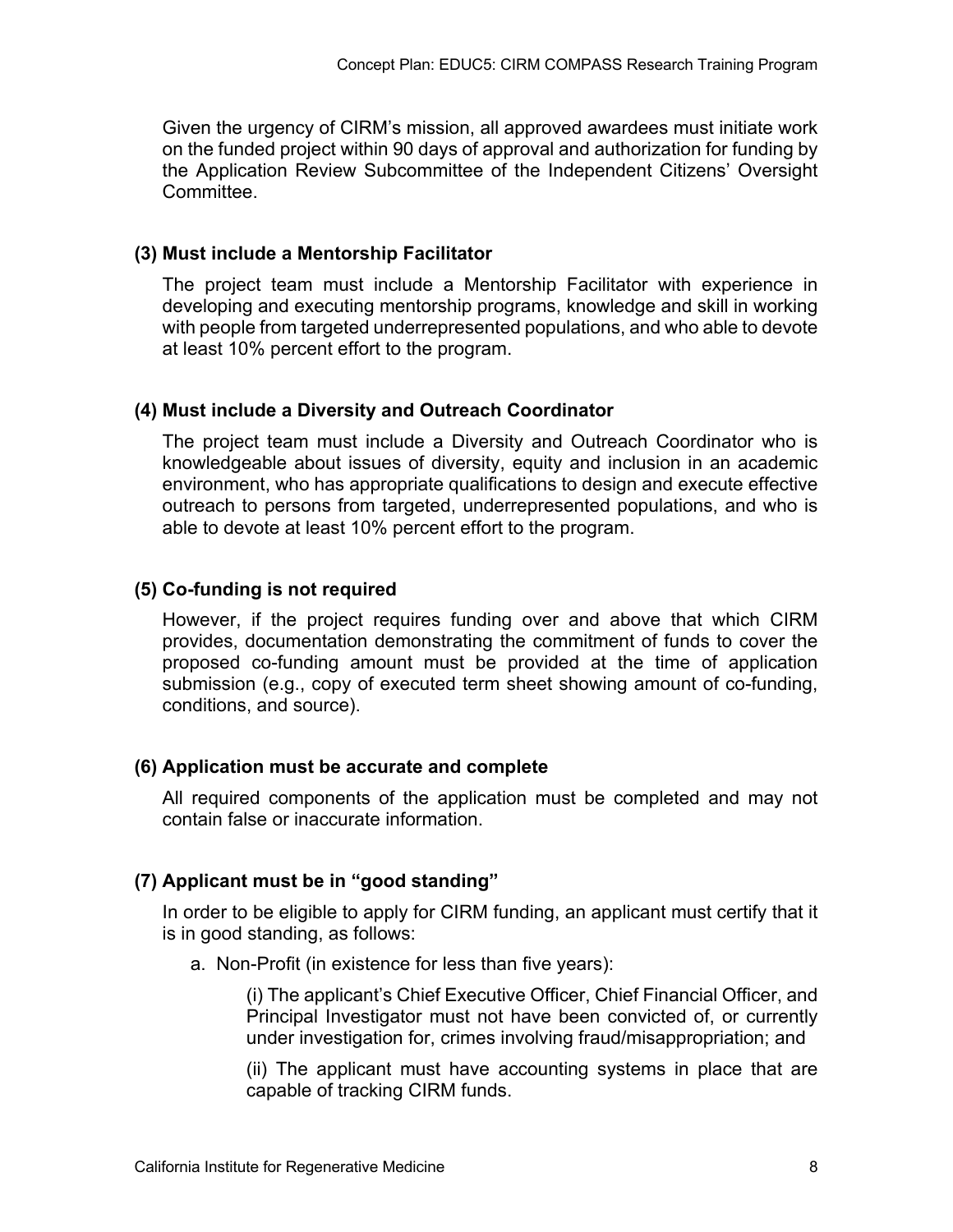Given the urgency of CIRM's mission, all approved awardees must initiate work on the funded project within 90 days of approval and authorization for funding by the Application Review Subcommittee of the Independent Citizens' Oversight Committee.

#### **(3) Must include a Mentorship Facilitator**

The project team must include a Mentorship Facilitator with experience in developing and executing mentorship programs, knowledge and skill in working with people from targeted underrepresented populations, and who able to devote at least 10% percent effort to the program.

#### **(4) Must include a Diversity and Outreach Coordinator**

The project team must include a Diversity and Outreach Coordinator who is knowledgeable about issues of diversity, equity and inclusion in an academic environment, who has appropriate qualifications to design and execute effective outreach to persons from targeted, underrepresented populations, and who is able to devote at least 10% percent effort to the program.

#### **(5) Co-funding is not required**

However, if the project requires funding over and above that which CIRM provides, documentation demonstrating the commitment of funds to cover the proposed co-funding amount must be provided at the time of application submission (e.g., copy of executed term sheet showing amount of co-funding, conditions, and source).

#### **(6) Application must be accurate and complete**

All required components of the application must be completed and may not contain false or inaccurate information.

#### **(7) Applicant must be in "good standing"**

In order to be eligible to apply for CIRM funding, an applicant must certify that it is in good standing, as follows:

a. Non-Profit (in existence for less than five years):

(i) The applicant's Chief Executive Officer, Chief Financial Officer, and Principal Investigator must not have been convicted of, or currently under investigation for, crimes involving fraud/misappropriation; and

(ii) The applicant must have accounting systems in place that are capable of tracking CIRM funds.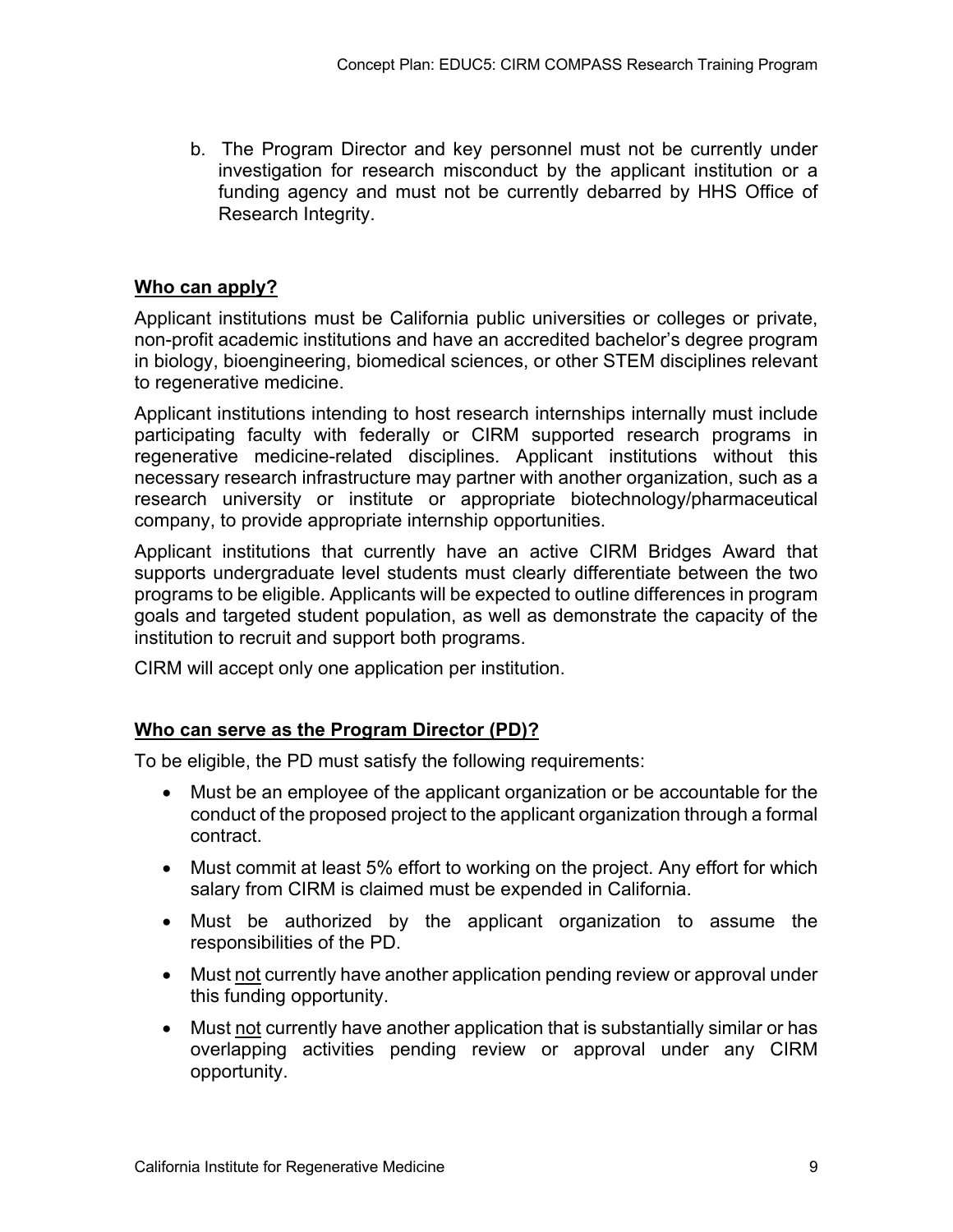b. The Program Director and key personnel must not be currently under investigation for research misconduct by the applicant institution or a funding agency and must not be currently debarred by HHS Office of Research Integrity.

#### **Who can apply?**

Applicant institutions must be California public universities or colleges or private, non-profit academic institutions and have an accredited bachelor's degree program in biology, bioengineering, biomedical sciences, or other STEM disciplines relevant to regenerative medicine.

Applicant institutions intending to host research internships internally must include participating faculty with federally or CIRM supported research programs in regenerative medicine-related disciplines. Applicant institutions without this necessary research infrastructure may partner with another organization, such as a research university or institute or appropriate biotechnology/pharmaceutical company, to provide appropriate internship opportunities.

Applicant institutions that currently have an active CIRM Bridges Award that supports undergraduate level students must clearly differentiate between the two programs to be eligible. Applicants will be expected to outline differences in program goals and targeted student population, as well as demonstrate the capacity of the institution to recruit and support both programs.

CIRM will accept only one application per institution.

#### **Who can serve as the Program Director (PD)?**

To be eligible, the PD must satisfy the following requirements:

- Must be an employee of the applicant organization or be accountable for the conduct of the proposed project to the applicant organization through a formal contract.
- Must commit at least 5% effort to working on the project. Any effort for which salary from CIRM is claimed must be expended in California.
- Must be authorized by the applicant organization to assume the responsibilities of the PD.
- Must not currently have another application pending review or approval under this funding opportunity.
- Must not currently have another application that is substantially similar or has overlapping activities pending review or approval under any CIRM opportunity.